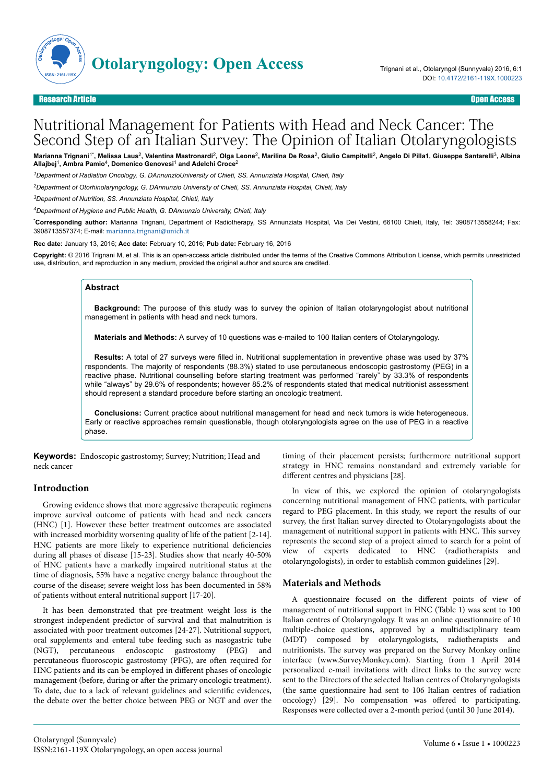

# Nutritional Management for Patients with Head and Neck Cancer: The Second Step of an Italian Survey: The Opinion of Italian Otolaryngologists

Marianna Trignani<sup>1\*</sup>, Melissa Laus<sup>2</sup>, Valentina Mastronardi<sup>2</sup>, Olga Leone<sup>2</sup>, Marilina De Rosa<sup>2</sup>, Giulio Campitelli<sup>2</sup>, Angelo Di Pilla1, Giuseppe Santarelli<sup>3</sup>, Albina **Allajbej**<sup>1</sup> **, Ambra Pamio**<sup>4</sup> **, Domenico Genovesi**<sup>1</sup>  **and Adelchi Croce**<sup>2</sup>

*<sup>1</sup>Department of Radiation Oncology, G. DAnnunzioUniversity of Chieti, SS. Annunziata Hospital, Chieti, Italy*

*<sup>2</sup>Department of Otorhinolaryngology, G. DAnnunzio University of Chieti, SS. Annunziata Hospital, Chieti, Italy*

*<sup>3</sup>Department of Nutrition, SS. Annunziata Hospital, Chieti, Italy*

*<sup>4</sup>Department of Hygiene and Public Health, G. DAnnunzio University, Chieti, Italy*

\***Corresponding author:** Marianna Trignani, Department of Radiotherapy, SS Annunziata Hospital, Via Dei Vestini, 66100 Chieti, Italy, Tel: 3908713558244; Fax: 3908713557374; E-mail: [marianna.trignani@unich.it](mailto:marianna.trignani@unich.it)

**Rec date:** January 13, 2016; **Acc date:** February 10, 2016; **Pub date:** February 16, 2016

**Copyright:** © 2016 Trignani M, et al. This is an open-access article distributed under the terms of the Creative Commons Attribution License, which permits unrestricted use, distribution, and reproduction in any medium, provided the original author and source are credited.

#### **Abstract**

**Background:** The purpose of this study was to survey the opinion of Italian otolaryngologist about nutritional management in patients with head and neck tumors.

**Materials and Methods:** A survey of 10 questions was e-mailed to 100 Italian centers of Otolaryngology.

**Results:** A total of 27 surveys were filled in. Nutritional supplementation in preventive phase was used by 37% respondents. The majority of respondents (88.3%) stated to use percutaneous endoscopic gastrostomy (PEG) in a reactive phase. Nutritional counselling before starting treatment was performed "rarely" by 33.3% of respondents while "always" by 29.6% of respondents; however 85.2% of respondents stated that medical nutritionist assessment should represent a standard procedure before starting an oncologic treatment.

**Conclusions:** Current practice about nutritional management for head and neck tumors is wide heterogeneous. Early or reactive approaches remain questionable, though otolaryngologists agree on the use of PEG in a reactive phase.

**Keywords:** Endoscopic gastrostomy; Survey; Nutrition; Head and neck cancer

#### **Introduction**

Growing evidence shows that more aggressive therapeutic regimens improve survival outcome of patients with head and neck cancers (HNC) [1]. However these better treatment outcomes are associated with increased morbidity worsening quality of life of the patient [2-14]. HNC patients are more likely to experience nutritional deficiencies during all phases of disease [15-23]. Studies show that nearly 40-50% of HNC patients have a markedly impaired nutritional status at the time of diagnosis, 55% have a negative energy balance throughout the course of the disease; severe weight loss has been documented in 58% of patients without enteral nutritional support [17-20].

It has been demonstrated that pre-treatment weight loss is the strongest independent predictor of survival and that malnutrition is associated with poor treatment outcomes [24-27]. Nutritional support, oral supplements and enteral tube feeding such as nasogastric tube (NGT), percutaneous endoscopic gastrostomy (PEG) and percutaneous fluoroscopic gastrostomy (PFG), are often required for HNC patients and its can be employed in different phases of oncologic management (before, during or after the primary oncologic treatment). To date, due to a lack of relevant guidelines and scientific evidences, the debate over the better choice between PEG or NGT and over the

timing of their placement persists; furthermore nutritional support strategy in HNC remains nonstandard and extremely variable for different centres and physicians [28].

In view of this, we explored the opinion of otolaryngologists concerning nutritional management of HNC patients, with particular regard to PEG placement. In this study, we report the results of our survey, the first Italian survey directed to Otolaryngologists about the management of nutritional support in patients with HNC. This survey represents the second step of a project aimed to search for a point of view of experts dedicated to HNC (radiotherapists and otolaryngologists), in order to establish common guidelines [29].

### **Materials and Methods**

A questionnaire focused on the different points of view of management of nutritional support in HNC (Table 1) was sent to 100 Italian centres of Otolaryngology. It was an online questionnaire of 10 multiple-choice questions, approved by a multidisciplinary team (MDT) composed by otolaryngologists, radiotherapists and nutritionists. Нe survey was prepared on the Survey Monkey online interface (www.SurveyMonkey.com). Starting from 1 April 2014 personalized e-mail invitations with direct links to the survey were sent to the Directors of the selected Italian centres of Otolaryngologists (the same questionnaire had sent to 106 Italian centres of radiation oncology) [29]. No compensation was offered to participating. Responses were collected over a 2-month period (until 30 June 2014).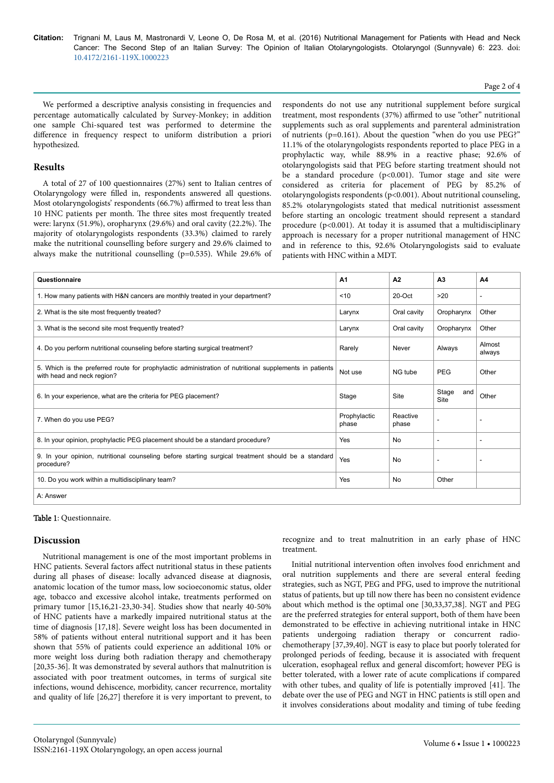**Citation:** Trignani M, Laus M, Mastronardi V, Leone O, De Rosa M, et al. (2016) Nutritional Management for Patients with Head and Neck Cancer: The Second Step of an Italian Survey: The Opinion of Italian Otolaryngologists. Otolaryngol (Sunnyvale) 6: 223. doi: 10.4172/2161-119X.1000223

#### Page 2 of 4

We performed a descriptive analysis consisting in frequencies and percentage automatically calculated by Survey-Monkey; in addition one sample Chi-squared test was performed to determine the difference in frequency respect to uniform distribution a priori hypothesized.

## **Results**

A total of 27 of 100 questionnaires (27%) sent to Italian centres of Otolaryngology were filled in, respondents answered all questions. Most otolaryngologists' respondents (66.7%) affirmed to treat less than 10 HNC patients per month. Нe three sites most frequently treated were: larynx (51.9%), oropharynx (29.6%) and oral cavity (22.2%). Нe majority of otolaryngologists respondents (33.3%) claimed to rarely make the nutritional counselling before surgery and 29.6% claimed to always make the nutritional counselling (p=0.535). While 29.6% of

respondents do not use any nutritional supplement before surgical treatment, most respondents (37%) affirmed to use "other" nutritional supplements such as oral supplements and parenteral administration of nutrients (p=0.161). About the question "when do you use PEG?" 11.1% of the otolaryngologists respondents reported to place PEG in a prophylactic way, while 88.9% in a reactive phase; 92.6% of otolaryngologists said that PEG before starting treatment should not be a standard procedure (p<0.001). Tumor stage and site were considered as criteria for placement of PEG by 85.2% of otolaryngologists respondents (p<0.001). About nutritional counseling, 85.2% otolaryngologists stated that medical nutritionist assessment before starting an oncologic treatment should represent a standard procedure (p<0.001). At today it is assumed that a multidisciplinary approach is necessary for a proper nutritional management of HNC and in reference to this, 92.6% Otolaryngologists said to evaluate patients with HNC within a MDT.

| <b>Questionnaire</b>                                                                                                                 | A <sub>1</sub>        | A2                | A3                   | A4                       |
|--------------------------------------------------------------------------------------------------------------------------------------|-----------------------|-------------------|----------------------|--------------------------|
| 1. How many patients with H&N cancers are monthly treated in your department?                                                        | < 10                  | 20-Oct            | >20                  | $\overline{\phantom{a}}$ |
| 2. What is the site most frequently treated?                                                                                         | Larynx                | Oral cavity       | Oropharynx           | Other                    |
| 3. What is the second site most frequently treated?                                                                                  | Larynx                | Oral cavity       | Oropharynx           | Other                    |
| 4. Do you perform nutritional counseling before starting surgical treatment?                                                         | Rarely                | Never             | Always               | Almost<br>always         |
| 5. Which is the preferred route for prophylactic administration of nutritional supplements in patients<br>with head and neck region? | Not use               | NG tube           | PEG                  | Other                    |
| 6. In your experience, what are the criteria for PEG placement?                                                                      | Stage                 | Site              | Stage<br>and<br>Site | Other                    |
| 7. When do you use PEG?                                                                                                              | Prophylactic<br>phase | Reactive<br>phase |                      |                          |
| 8. In your opinion, prophylactic PEG placement should be a standard procedure?                                                       | Yes                   | <b>No</b>         |                      | ٠                        |
| 9. In your opinion, nutritional counseling before starting surgical treatment should be a standard<br>procedure?                     | Yes                   | No                |                      |                          |
| 10. Do you work within a multidisciplinary team?                                                                                     | Yes                   | <b>No</b>         | Other                |                          |
| A: Answer                                                                                                                            |                       |                   |                      |                          |

## Table 1: Questionnaire.

## **Discussion**

Nutritional management is one of the most important problems in HNC patients. Several factors affect nutritional status in these patients during all phases of disease: locally advanced disease at diagnosis, anatomic location of the tumor mass, low socioeconomic status, older age, tobacco and excessive alcohol intake, treatments performed on primary tumor [15,16,21-23,30-34]. Studies show that nearly 40-50% of HNC patients have a markedly impaired nutritional status at the time of diagnosis [17,18]. Severe weight loss has been documented in 58% of patients without enteral nutritional support and it has been shown that 55% of patients could experience an additional 10% or more weight loss during both radiation therapy and chemotherapy [20,35-36]. It was demonstrated by several authors that malnutrition is associated with poor treatment outcomes, in terms of surgical site infections, wound dehiscence, morbidity, cancer recurrence, mortality and quality of life [26,27] therefore it is very important to prevent, to recognize and to treat malnutrition in an early phase of HNC treatment.

Initial nutritional intervention often involves food enrichment and oral nutrition supplements and there are several enteral feeding strategies, such as NGT, PEG and PFG, used to improve the nutritional status of patients, but up till now there has been no consistent evidence about which method is the optimal one [30,33,37,38]. NGT and PEG are the preferred strategies for enteral support, both of them have been demonstrated to be effective in achieving nutritional intake in HNC patients undergoing radiation therapy or concurrent radiochemotherapy [37,39,40]. NGT is easy to place but poorly tolerated for prolonged periods of feeding, because it is associated with frequent ulceration, esophageal reflux and general discomfort; however PEG is better tolerated, with a lower rate of acute complications if compared with other tubes, and quality of life is potentially improved [41]. The debate over the use of PEG and NGT in HNC patients is still open and it involves considerations about modality and timing of tube feeding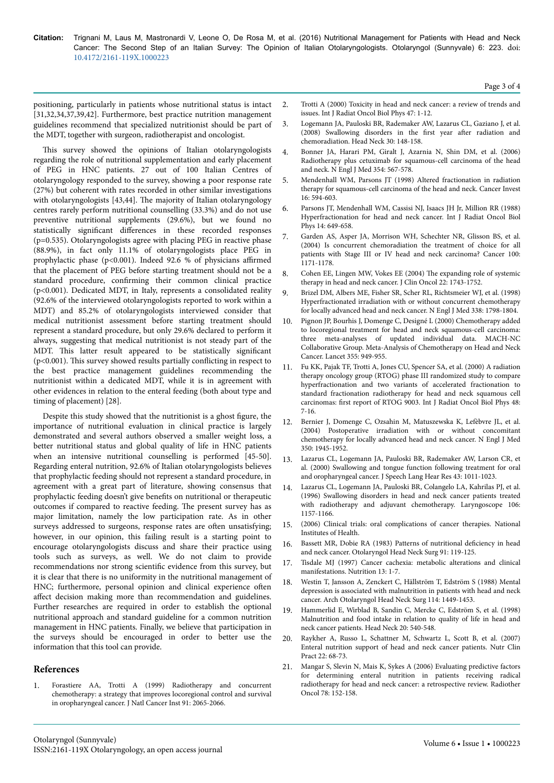**Citation:** Trignani M, Laus M, Mastronardi V, Leone O, De Rosa M, et al. (2016) Nutritional Management for Patients with Head and Neck Cancer: The Second Step of an Italian Survey: The Opinion of Italian Otolaryngologists. Otolaryngol (Sunnyvale) 6: 223. doi: 10.4172/2161-119X.1000223

Page 3 of 4

positioning, particularly in patients whose nutritional status is intact [31,32,34,37,39,42]. Furthermore, best practice nutrition management guidelines recommend that specialized nutritionist should be part of the MDT, together with surgeon, radiotherapist and oncologist.

This survey showed the opinions of Italian otolaryngologists regarding the role of nutritional supplementation and early placement of PEG in HNC patients. 27 out of 100 Italian Centres of otolaryngology responded to the survey, showing a poor response rate (27%) but coherent with rates recorded in other similar investigations with otolaryngologists [43,44]. Нe majority of Italian otolaryngology centres rarely perform nutritional counselling (33.3%) and do not use preventive nutritional supplements (29.6%), but we found no statistically significant differences in these recorded responses (p=0.535). Otolaryngologists agree with placing PEG in reactive phase (88.9%), in fact only 11.1% of otolaryngologists place PEG in prophylactic phase ( $p$ <0.001). Indeed 92.6 % of physicians affirmed that the placement of PEG before starting treatment should not be a standard procedure, confirming their common clinical practice (p<0.001). Dedicated MDT, in Italy, represents a consolidated reality (92.6% of the interviewed otolaryngologists reported to work within a MDT) and 85.2% of otolaryngologists interviewed consider that medical nutritionist assessment before starting treatment should represent a standard procedure, but only 29.6% declared to perform it always, suggesting that medical nutritionist is not steady part of the MDT. This latter result appeared to be statistically significant ( $p<0.001$ ). This survey showed results partially conflicting in respect to the best practice management guidelines recommending the nutritionist within a dedicated MDT, while it is in agreement with other evidences in relation to the enteral feeding (both about type and timing of placement) [28].

Despite this study showed that the nutritionist is a ghost figure, the importance of nutritional evaluation in clinical practice is largely demonstrated and several authors observed a smaller weight loss, a better nutritional status and global quality of life in HNC patients when an intensive nutritional counselling is performed [45-50]. Regarding enteral nutrition, 92.6% of Italian otolaryngologists believes that prophylactic feeding should not represent a standard procedure, in agreement with a great part of literature, showing consensus that prophylactic feeding doesn't give benefits on nutritional or therapeutic outcomes if compared to reactive feeding. Нe present survey has as major limitation, namely the low participation rate. As in other surveys addressed to surgeons, response rates are often unsatisfying; however, in our opinion, this failing result is a starting point to encourage otolaryngologists discuss and share their practice using tools such as surveys, as well. We do not claim to provide recommendations nor strong scientific evidence from this survey, but it is clear that there is no uniformity in the nutritional management of HNC; furthermore, personal opinion and clinical experience often affect decision making more than recommendation and guidelines. Further researches are required in order to establish the optional nutritional approach and standard guideline for a common nutrition management in HNC patients. Finally, we believe that participation in the surveys should be encouraged in order to better use the information that this tool can provide.

## **References**

1. [Forastiere AA, Trotti A \(1999\) Radiotherapy and concurrent](http://www.ncbi.nlm.nih.gov/pubmed/10601369) [chemotherapy: a strategy that improves locoregional control and survival](http://www.ncbi.nlm.nih.gov/pubmed/10601369) [in oropharyngeal cancer. J Natl Cancer Inst 91: 2065-2066.](http://www.ncbi.nlm.nih.gov/pubmed/10601369)

- 2. [Trotti A \(2000\) Toxicity in head and neck cancer: a review of trends and](http://www.ncbi.nlm.nih.gov/pubmed/10758302) [issues. Int J Radiat Oncol Biol Phys 47: 1-12.](http://www.ncbi.nlm.nih.gov/pubmed/10758302)
- 3. [Logemann JA, Pauloski BR, Rademaker AW, Lazarus CL, Gaziano J, et al.](http://www.ncbi.nlm.nih.gov/pubmed/17786992) [\(2008\) Swallowing disorders in the](http://www.ncbi.nlm.nih.gov/pubmed/17786992) first year after radiation and [chemoradiation. Head Neck 30: 148-158.](http://www.ncbi.nlm.nih.gov/pubmed/17786992)
- 4. [Bonner JA, Harari PM, Giralt J, Azarnia N, Shin DM, et al. \(2006\)](http://www.ncbi.nlm.nih.gov/pubmed/16467544) [Radiotherapy plus cetuximab for squamous-cell carcinoma of the head](http://www.ncbi.nlm.nih.gov/pubmed/16467544) [and neck. N Engl J Med 354: 567-578.](http://www.ncbi.nlm.nih.gov/pubmed/16467544)
- 5. [Mendenhall WM, Parsons JT \(1998\) Altered fractionation in radiation](http://www.ncbi.nlm.nih.gov/pubmed/9844620) [therapy for squamous-cell carcinoma of the head and neck. Cancer Invest](http://www.ncbi.nlm.nih.gov/pubmed/9844620) [16: 594-603.](http://www.ncbi.nlm.nih.gov/pubmed/9844620)
- 6. [Parsons JT, Mendenhall WM, Cassisi NJ, Isaacs JH Jr, Million RR \(1988\)](http://www.ncbi.nlm.nih.gov/pubmed/3350719) [Hyperfractionation for head and neck cancer. Int J Radiat Oncol Biol](http://www.ncbi.nlm.nih.gov/pubmed/3350719) [Phys 14: 649-658.](http://www.ncbi.nlm.nih.gov/pubmed/3350719)
- 7. [Garden AS, Asper JA, Morrison WH, Schechter NR, Glisson BS, et al.](http://www.ncbi.nlm.nih.gov/pubmed/15022283) [\(2004\) Is concurrent chemoradiation the treatment of choice for all](http://www.ncbi.nlm.nih.gov/pubmed/15022283) [patients with Stage III or IV head and neck carcinoma? Cancer 100:](http://www.ncbi.nlm.nih.gov/pubmed/15022283) [1171-1178.](http://www.ncbi.nlm.nih.gov/pubmed/15022283)
- 8. [Cohen EE, Lingen MW, Vokes EE \(2004\)](http://www.ncbi.nlm.nih.gov/pubmed/15117998) Нe expanding role of systemic [therapy in head and neck cancer. J Clin Oncol 22: 1743-1752.](http://www.ncbi.nlm.nih.gov/pubmed/15117998)
- 9. [Brizel DM, Albers ME, Fisher SR, Scher RL, Richtsmeier WJ, et al. \(1998\)](http://www.ncbi.nlm.nih.gov/pubmed/9632446) [Hyperfractionated irradiation with or without concurrent chemotherapy](http://www.ncbi.nlm.nih.gov/pubmed/9632446) [for locally advanced head and neck cancer. N Engl J Med 338: 1798-1804.](http://www.ncbi.nlm.nih.gov/pubmed/9632446)
- [Pignon JP, Bourhis J, Domenge C, Designé L \(2000\) Chemotherapy added](http://www.ncbi.nlm.nih.gov/pubmed/10768432) [to locoregional treatment for head and neck squamous-cell carcinoma:](http://www.ncbi.nlm.nih.gov/pubmed/10768432) [three meta-analyses of updated individual data. MACH-NC](http://www.ncbi.nlm.nih.gov/pubmed/10768432) [Collaborative Group. Meta-Analysis of Chemotherapy on Head and Neck](http://www.ncbi.nlm.nih.gov/pubmed/10768432) [Cancer. Lancet 355: 949-955.](http://www.ncbi.nlm.nih.gov/pubmed/10768432)
- 11. [Fu KK, Pajak TF, Trotti A, Jones CU, Spencer SA, et al. \(2000\) A radiation](http://www.ncbi.nlm.nih.gov/pubmed/10924966) [therapy oncology group \(RTOG\) phase III randomized study to compare](http://www.ncbi.nlm.nih.gov/pubmed/10924966) [hyperfractionation and two variants of accelerated fractionation to](http://www.ncbi.nlm.nih.gov/pubmed/10924966) [standard fractionation radiotherapy for head and neck squamous cell](http://www.ncbi.nlm.nih.gov/pubmed/10924966) carcinomas: first [report of RTOG 9003. Int J Radiat Oncol Biol Phys 48:](http://www.ncbi.nlm.nih.gov/pubmed/10924966) [7-16.](http://www.ncbi.nlm.nih.gov/pubmed/10924966)
- 12. [Bernier J, Domenge C, Ozsahin M, Matuszewska K, Lefèbvre JL, et al.](http://www.ncbi.nlm.nih.gov/pubmed/15128894) [\(2004\) Postoperative irradiation with or without concomitant](http://www.ncbi.nlm.nih.gov/pubmed/15128894) [chemotherapy for locally advanced head and neck cancer. N Engl J Med](http://www.ncbi.nlm.nih.gov/pubmed/15128894) [350: 1945-1952.](http://www.ncbi.nlm.nih.gov/pubmed/15128894)
- 13. [Lazarus CL, Logemann JA, Pauloski BR, Rademaker AW, Larson CR, et](http://www.ncbi.nlm.nih.gov/pubmed/11386468) [al. \(2000\) Swallowing and tongue function following treatment for oral](http://www.ncbi.nlm.nih.gov/pubmed/11386468) [and oropharyngeal cancer. J Speech Lang Hear Res 43: 1011-1023.](http://www.ncbi.nlm.nih.gov/pubmed/11386468)
- 14. [Lazarus CL, Logemann JA, Pauloski BR, Colangelo LA, Kahrilas PJ, et al.](http://www.ncbi.nlm.nih.gov/pubmed/8822723) [\(1996\) Swallowing disorders in head and neck cancer patients treated](http://www.ncbi.nlm.nih.gov/pubmed/8822723) [with radiotherapy and adjuvant chemotherapy. Laryngoscope 106:](http://www.ncbi.nlm.nih.gov/pubmed/8822723) [1157-1166.](http://www.ncbi.nlm.nih.gov/pubmed/8822723)
- 15. [\(2006\) Clinical trials: oral complications of cancer therapies. National](http://grants.nih.gov/grants/guide/pa-files/PAR-06-213.html) [Institutes of Health.](http://grants.nih.gov/grants/guide/pa-files/PAR-06-213.html)
- 16. [Bassett MR, Dobie RA \(1983\) Patterns of nutritional](http://www.ncbi.nlm.nih.gov/pubmed/6408567) deficiency in head [and neck cancer. Otolaryngol Head Neck Surg 91: 119-125.](http://www.ncbi.nlm.nih.gov/pubmed/6408567)
- 17. [Tisdale MJ \(1997\) Cancer cachexia: metabolic alterations and clinical](http://www.ncbi.nlm.nih.gov/pubmed/9058439) [manifestations. Nutrition 13: 1-7.](http://www.ncbi.nlm.nih.gov/pubmed/9058439)
- 18. [Westin T, Jansson A, Zenckert C, Hällström T, Edström S \(1988\) Mental](http://www.ncbi.nlm.nih.gov/pubmed/3190874) [depression is associated with malnutrition in patients with head and neck](http://www.ncbi.nlm.nih.gov/pubmed/3190874) [cancer. Arch Otolaryngol Head Neck Surg 114: 1449-1453.](http://www.ncbi.nlm.nih.gov/pubmed/3190874)
- 19. [Hammerlid E, Wirblad B, Sandin C, Mercke C, Edström S, et al. \(1998\)](http://www.ncbi.nlm.nih.gov/pubmed/9702542) [Malnutrition and food intake in relation to quality of life in head and](http://www.ncbi.nlm.nih.gov/pubmed/9702542) [neck cancer patients. Head Neck 20: 540-548.](http://www.ncbi.nlm.nih.gov/pubmed/9702542)
- 20. [Raykher A, Russo L, Schattner M, Schwartz L, Scott B, et al. \(2007\)](http://www.ncbi.nlm.nih.gov/pubmed/17242458) [Enteral nutrition support of head and neck cancer patients. Nutr Clin](http://www.ncbi.nlm.nih.gov/pubmed/17242458) [Pract 22: 68-73.](http://www.ncbi.nlm.nih.gov/pubmed/17242458)
- 21. [Mangar S, Slevin N, Mais K, Sykes A \(2006\) Evaluating predictive factors](http://www.ncbi.nlm.nih.gov/pubmed/16466819) [for determining enteral nutrition in patients receiving radical](http://www.ncbi.nlm.nih.gov/pubmed/16466819) [radiotherapy for head and neck cancer: a retrospective review. Radiother](http://www.ncbi.nlm.nih.gov/pubmed/16466819) [Oncol 78: 152-158.](http://www.ncbi.nlm.nih.gov/pubmed/16466819)